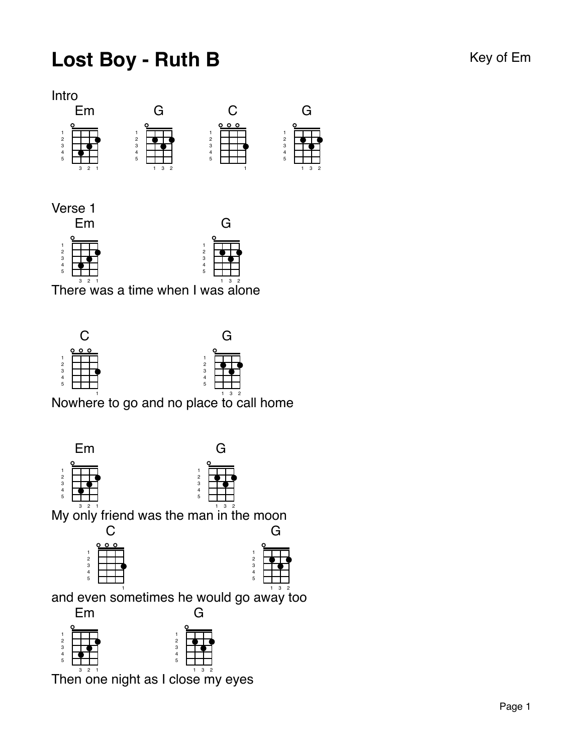## Lost Boy - Ruth B Key of Em



G

Verse 1



There was a time when I was alone



Nowhere to go and no place to call home



 $\mathop{\mathsf{Then}}\nolimits\mathop{\mathsf{on}}\nolimits\mathop{\mathsf{en}}\nolimits\mathop{\mathsf{in}}\nolimits\mathop{\mathsf{in}}\nolimits\mathop{\mathsf{an}}\nolimits\mathop{\mathsf{an}}\nolimits\mathop{\mathsf{on}}\nolimits\mathop{\mathsf{an}}\nolimits\mathop{\mathsf{an}}\nolimits\mathop{\mathsf{an}}\nolimits\mathop{\mathsf{an}}\nolimits\mathop{\mathsf{an}}\nolimits\mathop{\mathsf{an}}\nolimits\mathop{\mathsf{an}}\nolimits\mathop{\mathsf{an}}\nolimits\mathop{\mathsf{an}}\nol$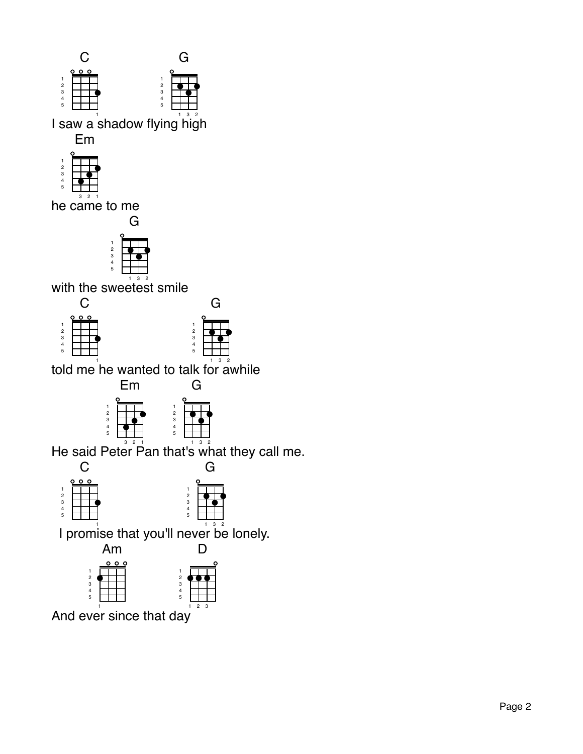

I saw a shadow flying nigh

Em



3 2 1 he came to me



with the swe $\stackrel{\scriptscriptstyle\mathsf{def}}{\mathsf{es}}\stackrel{\scriptscriptstyle\mathsf{def}}{\mathsf{small}}$ 





G

told me ne wanted to talk for awhile



He said Peter Pan that's what they call me.





And ever since that day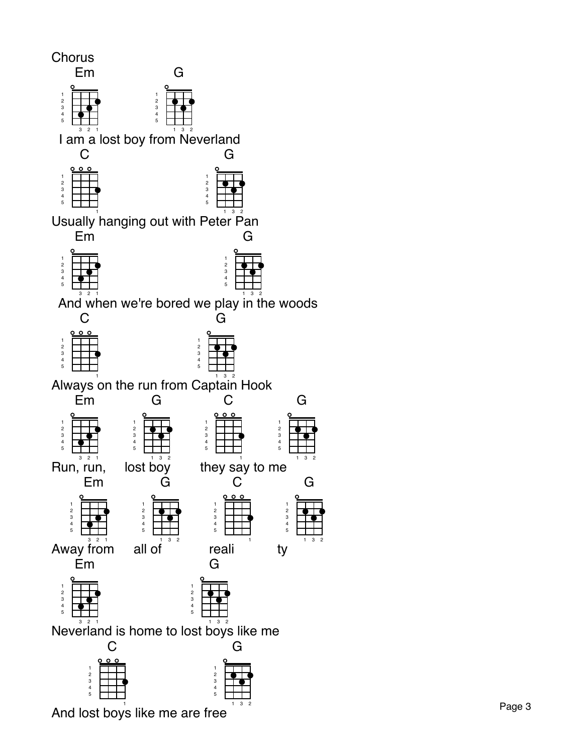

And lost boys like me are free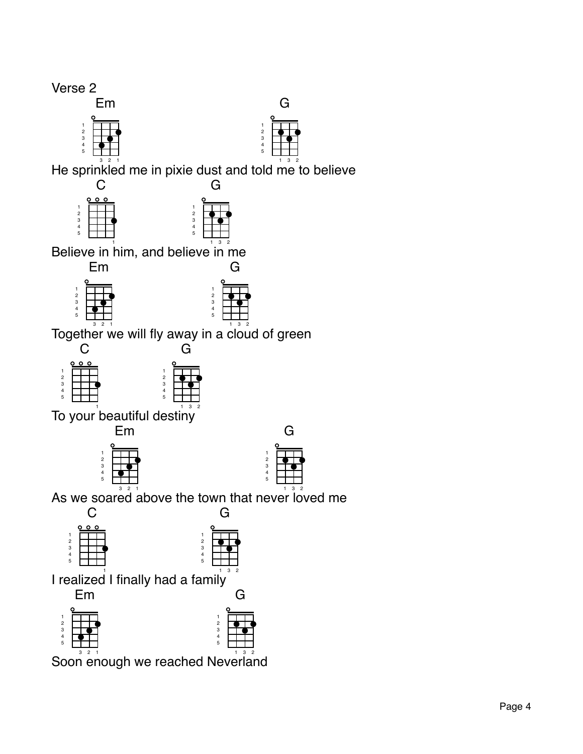Verse 2

## Em

| 2<br>3 |   |   |  |
|--------|---|---|--|
|        |   |   |  |
| 4<br>5 |   |   |  |
|        |   |   |  |
|        | 3 | 2 |  |



He sprinkled me in pixie dust and told me to believe

G

| 000 |  |
|-----|--|
|     |  |
|     |  |
|     |  |

Believe in him, and believe in me





G

 ${\rm T}$ ogether $\stackrel{\circ}{{\rm w}}$ e will fly away in a  $\stackrel{\circ}{{\rm c}}$ lo $\stackrel{\circ}{{\rm u}}$ d of green



To your beautiful destiny<sup>®</sup>





As we soared above the town that never loved me



Soon enough we reached Neverland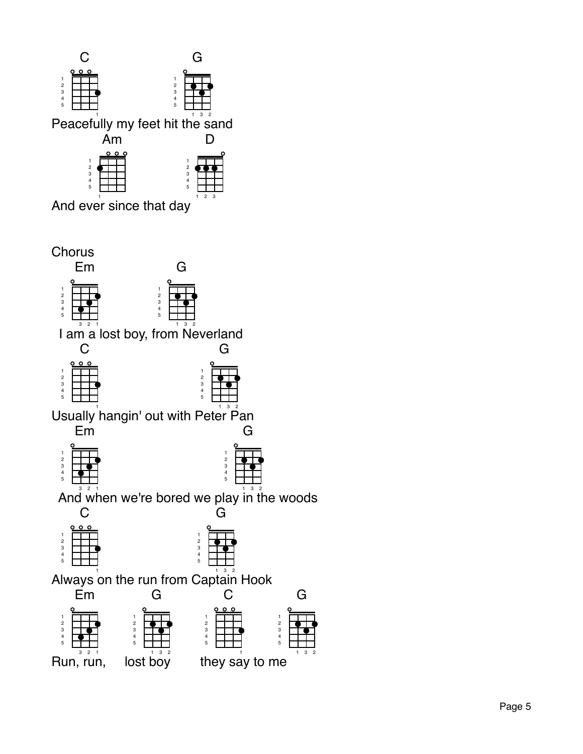

And ever since that day

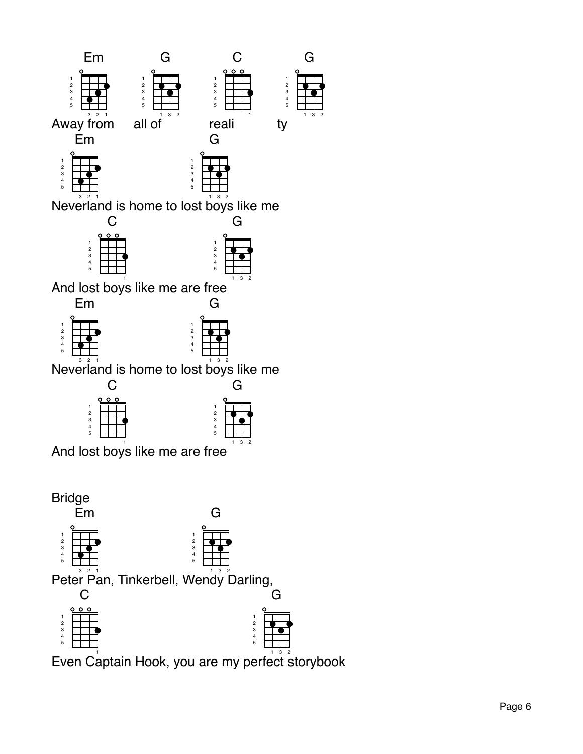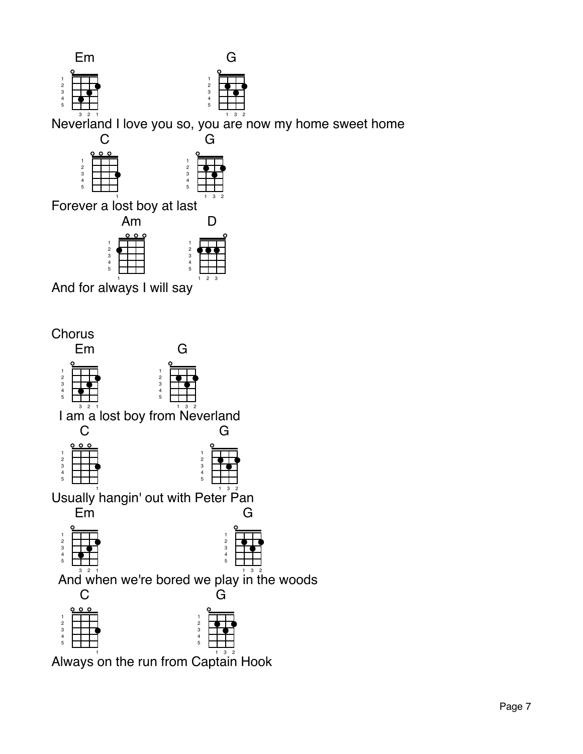

 

3 2

Forever a lost boy at last

5

| Am            |                |
|---------------|----------------|
| <u>。。。</u>    | r              |
| 1             | 1              |
| $\frac{2}{3}$ | $\overline{c}$ |
|               | $\overline{3}$ |
| 4             |                |
| 5             | 5              |
|               | 3<br>2         |

And for 1 always I will s ay



Always on the run from Captain Hook